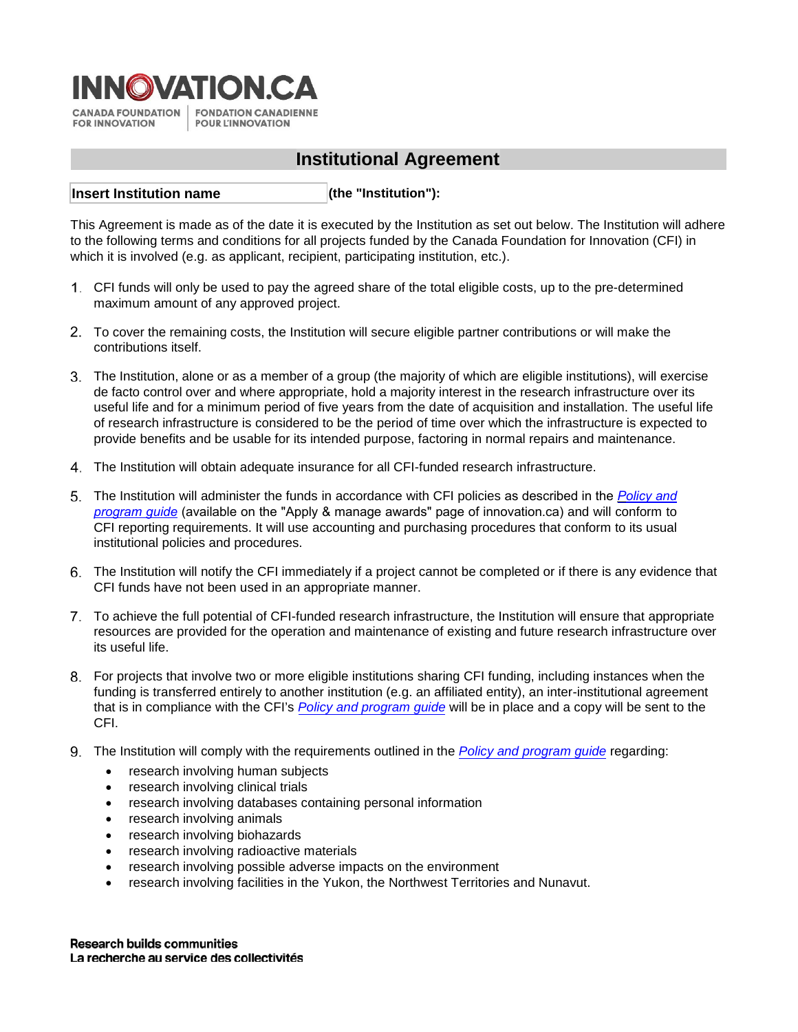

# **Institutional Agreement**

**(the "Institution"): Insert Institution name**

This Agreement is made as of the date it is executed by the Institution as set out below. The Institution will adhere to the following terms and conditions for all projects funded by the Canada Foundation for Innovation (CFI) in which it is involved (e.g. as applicant, recipient, participating institution, etc.).

- CFI funds will only be used to pay the agreed share of the total eligible costs, up to the pre-determined maximum amount of any approved project.
- To cover the remaining costs, the Institution will secure eligible partner contributions or will make the contributions itself.
- The Institution, alone or as a member of a group (the majority of which are eligible institutions), will exercise de facto control over and where appropriate, hold a majority interest in the research infrastructure over its useful life and for a minimum period of five years from the date of acquisition and installation. The useful life of research infrastructure is considered to be the period of time over which the infrastructure is expected to provide benefits and be usable for its intended purpose, factoring in normal repairs and maintenance.
- The Institution will obtain adequate insurance for all CFI-funded research infrastructure.
- The Institution will administer the funds in accordance with CFI policies as described in the *[Policy and](https://www.innovation.ca/apply-manage-awards/resources-apply-manage-award)  [program guide](https://www.innovation.ca/awards)* (available on the "Apply & manage awards" page of innovation.ca) and will conform to CFI reporting requirements. It will use accounting and purchasing procedures that conform to its usual institutional policies and procedures.
- The Institution will notify the CFI immediately if a project cannot be completed or if there is any evidence that CFI funds have not been used in an appropriate manner.
- To achieve the full potential of CFI-funded research infrastructure, the Institution will ensure that appropriate resources are provided for the operation and maintenance of existing and future research infrastructure over its useful life.
- For projects that involve two or more eligible institutions sharing CFI funding, including instances when the funding is transferred entirely to another institution (e.g. an affiliated entity), an inter-institutional agreement that is in compliance with the CFI's *[Policy and program guide](https://www.innovation.ca/apply-manage-awards/resources-apply-manage-award)* will be in place and a copy will be sent to the CFI.
- The Institution will comply with the requirements outlined in the *[Policy and program guide](https://www.innovation.ca/apply-manage-awards/resources-apply-manage-award)* regarding:
	- research involving human subjects
	- research involving clinical trials
	- research involving databases containing personal information
	- research involving animals
	- research involving biohazards
	- research involving radioactive materials
	- research involving possible adverse impacts on the environment
	- research involving facilities in the Yukon, the Northwest Territories and Nunavut.

**Research builds communities** La recherche au service des collectivités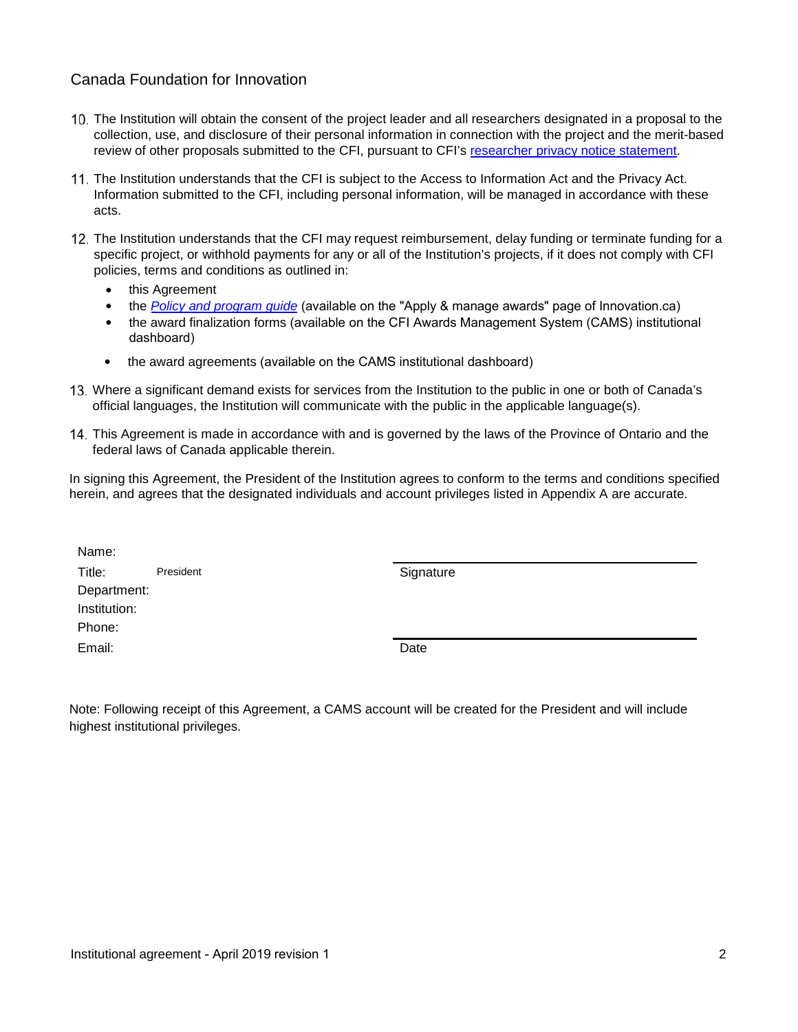## Canada Foundation for Innovation

- The Institution will obtain the consent of the project leader and all researchers designated in a proposal to the collection, use, and disclosure of their personal information in connection with the project and the merit-based review of other proposals submitted to the CFI, pursuant to CFI'[s researcher privacy notice statement.](https://www.innovation.ca/access-information-privacy/privacy-notices-researchers)
- 11. The Institution understands that the CFI is subject to the Access to Information Act and the Privacy Act. Information submitted to the CFI, including personal information, will be managed in accordance with these acts.
- 12. The Institution understands that the CFI may request reimbursement, delay funding or terminate funding for a specific project, or withhold payments for any or all of the Institution's projects, if it does not comply with CFI policies, terms and conditions as outlined in:
	- this Agreement
	- the *[Policy and program guide](https://www.innovation.ca/apply-manage-awards/resources-apply-manage-award)* (available on the "Apply & manage awards" page of Innovation.ca)
	- the award finalization forms (available on the CFI Awards Management System (CAMS) institutional dashboard)
	- the award agreements (available on the CAMS institutional dashboard)
- Where a significant demand exists for services from the Institution to the public in one or both of Canada's official languages, the Institution will communicate with the public in the applicable language(s).
- This Agreement is made in accordance with and is governed by the laws of the Province of Ontario and the federal laws of Canada applicable therein.

In signing this Agreement, the President of the Institution agrees to conform to the terms and conditions specified herein, and agrees that the designated individuals and account privileges listed in Appendix A are accurate.

| Name:        |           |           |
|--------------|-----------|-----------|
| Title:       | President | Signature |
| Department:  |           |           |
| Institution: |           |           |
| Phone:       |           |           |
| Email:       |           | Date      |

Note: Following receipt of this Agreement, a CAMS account will be created for the President and will include highest institutional privileges.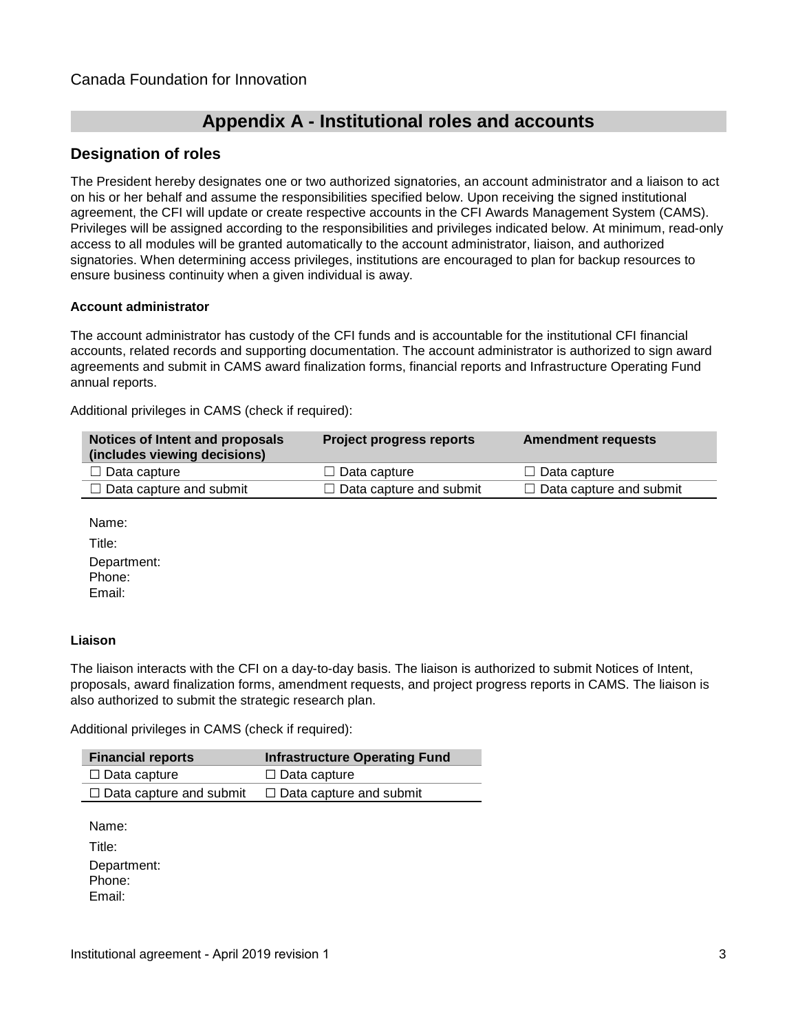# **Appendix A - Institutional roles and accounts**

## **Designation of roles**

The President hereby designates one or two authorized signatories, an account administrator and a liaison to act on his or her behalf and assume the responsibilities specified below. Upon receiving the signed institutional agreement, the CFI will update or create respective accounts in the CFI Awards Management System (CAMS). Privileges will be assigned according to the responsibilities and privileges indicated below. At minimum, read-only access to all modules will be granted automatically to the account administrator, liaison, and authorized signatories. When determining access privileges, institutions are encouraged to plan for backup resources to ensure business continuity when a given individual is away.

#### **Account administrator**

The account administrator has custody of the CFI funds and is accountable for the institutional CFI financial accounts, related records and supporting documentation. The account administrator is authorized to sign award agreements and submit in CAMS award finalization forms, financial reports and Infrastructure Operating Fund annual reports.

Additional privileges in CAMS (check if required):

| Notices of Intent and proposals<br>(includes viewing decisions) | <b>Project progress reports</b> | <b>Amendment requests</b>      |
|-----------------------------------------------------------------|---------------------------------|--------------------------------|
| $\Box$ Data capture                                             | $\Box$ Data capture             | $\Box$ Data capture            |
| $\Box$ Data capture and submit                                  | $\Box$ Data capture and submit  | $\Box$ Data capture and submit |

Name:

Title: Department: Phone: Email:

#### **Liaison**

The liaison interacts with the CFI on a day-to-day basis. The liaison is authorized to submit Notices of Intent, proposals, award finalization forms, amendment requests, and project progress reports in CAMS. The liaison is also authorized to submit the strategic research plan.

Additional privileges in CAMS (check if required):

| <b>Financial reports</b>       | <b>Infrastructure Operating Fund</b> |
|--------------------------------|--------------------------------------|
| □ Data capture                 | $\Box$ Data capture                  |
| $\Box$ Data capture and submit | $\Box$ Data capture and submit       |

Name:

Title: Department: Phone: Email: